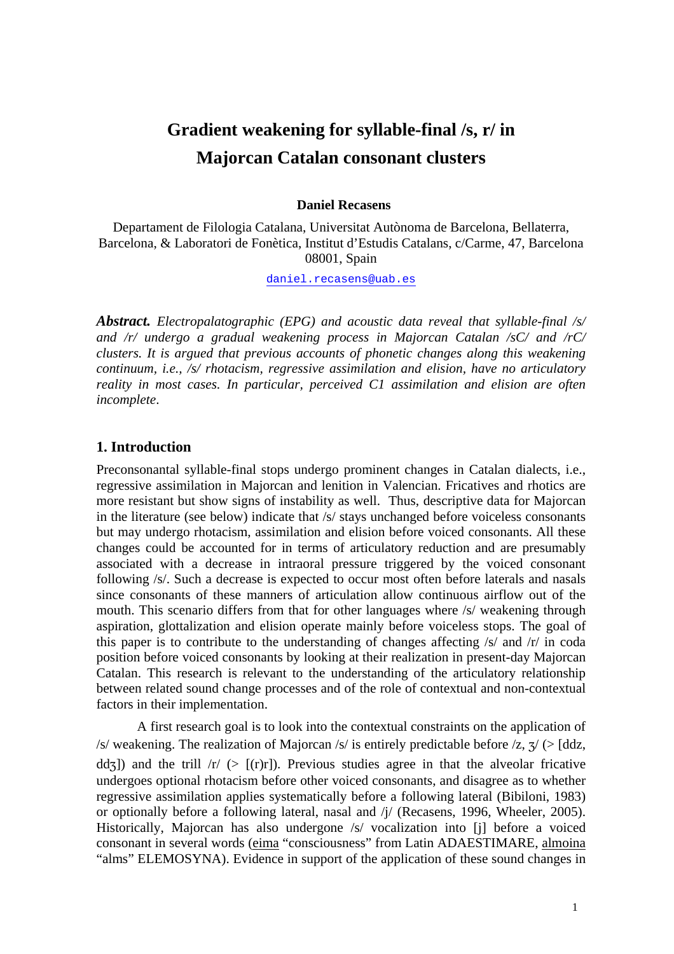# **Gradient weakening for syllable-final /s, r/ in Majorcan Catalan consonant clusters**

#### **Daniel Recasens**

Departament de Filologia Catalana, Universitat Autònoma de Barcelona, Bellaterra, Barcelona, & Laboratori de Fonètica, Institut d'Estudis Catalans, c/Carme, 47, Barcelona 08001, Spain

daniel.recasens@uab.es

*Abstract. Electropalatographic (EPG) and acoustic data reveal that syllable-final /s/ and /r/ undergo a gradual weakening process in Majorcan Catalan /sC/ and /rC/ clusters. It is argued that previous accounts of phonetic changes along this weakening continuum, i.e., /s/ rhotacism, regressive assimilation and elision, have no articulatory reality in most cases. In particular, perceived C1 assimilation and elision are often incomplete*.

# **1. Introduction**

Preconsonantal syllable-final stops undergo prominent changes in Catalan dialects, i.e., regressive assimilation in Majorcan and lenition in Valencian. Fricatives and rhotics are more resistant but show signs of instability as well. Thus, descriptive data for Majorcan in the literature (see below) indicate that /s/ stays unchanged before voiceless consonants but may undergo rhotacism, assimilation and elision before voiced consonants. All these changes could be accounted for in terms of articulatory reduction and are presumably associated with a decrease in intraoral pressure triggered by the voiced consonant following /s/. Such a decrease is expected to occur most often before laterals and nasals since consonants of these manners of articulation allow continuous airflow out of the mouth. This scenario differs from that for other languages where /s/ weakening through aspiration, glottalization and elision operate mainly before voiceless stops. The goal of this paper is to contribute to the understanding of changes affecting /s/ and /r/ in coda position before voiced consonants by looking at their realization in present-day Majorcan Catalan. This research is relevant to the understanding of the articulatory relationship between related sound change processes and of the role of contextual and non-contextual factors in their implementation.

A first research goal is to look into the contextual constraints on the application of /s/ weakening. The realization of Majorcan /s/ is entirely predictable before /z,  $\frac{\pi}{2}$  (> [ddz, dd<sub>7</sub>]) and the trill  $\sqrt{r}$  (>  $\lceil$ (r)r]). Previous studies agree in that the alveolar fricative undergoes optional rhotacism before other voiced consonants, and disagree as to whether regressive assimilation applies systematically before a following lateral (Bibiloni, 1983) or optionally before a following lateral, nasal and /j/ (Recasens, 1996, Wheeler, 2005). Historically, Majorcan has also undergone /s/ vocalization into [j] before a voiced consonant in several words (eima "consciousness" from Latin ADAESTIMARE, almoina "alms" ELEMOSYNA). Evidence in support of the application of these sound changes in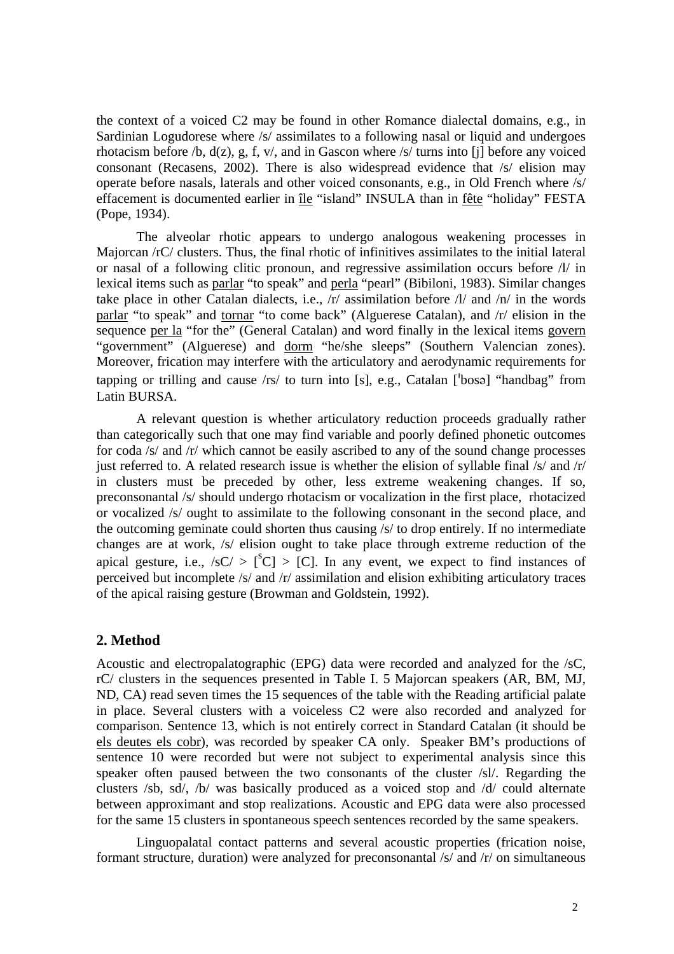the context of a voiced C2 may be found in other Romance dialectal domains, e.g., in Sardinian Logudorese where /s/ assimilates to a following nasal or liquid and undergoes rhotacism before /b,  $d(z)$ , g, f, v/, and in Gascon where /s/ turns into [i] before any voiced consonant (Recasens, 2002). There is also widespread evidence that /s/ elision may operate before nasals, laterals and other voiced consonants, e.g., in Old French where /s/ effacement is documented earlier in île "island" INSULA than in fête "holiday" FESTA (Pope, 1934).

 The alveolar rhotic appears to undergo analogous weakening processes in Majorcan /rC/ clusters. Thus, the final rhotic of infinitives assimilates to the initial lateral or nasal of a following clitic pronoun, and regressive assimilation occurs before /l/ in lexical items such as parlar "to speak" and perla "pearl" (Bibiloni, 1983). Similar changes take place in other Catalan dialects, i.e.,  $\pi$  assimilation before  $\pi$  and  $\pi$  in the words parlar "to speak" and tornar "to come back" (Alguerese Catalan), and /r/ elision in the sequence per la "for the" (General Catalan) and word finally in the lexical items govern "government" (Alguerese) and dorm "he/she sleeps" (Southern Valencian zones). Moreover, frication may interfere with the articulatory and aerodynamic requirements for tapping or trilling and cause  $\langle rs \rangle$  to turn into [s], e.g., Catalan [bosə] "handbag" from Latin BURSA.

A relevant question is whether articulatory reduction proceeds gradually rather than categorically such that one may find variable and poorly defined phonetic outcomes for coda /s/ and /r/ which cannot be easily ascribed to any of the sound change processes just referred to. A related research issue is whether the elision of syllable final  $/s$  and  $/r$ in clusters must be preceded by other, less extreme weakening changes. If so, preconsonantal /s/ should undergo rhotacism or vocalization in the first place, rhotacized or vocalized /s/ ought to assimilate to the following consonant in the second place, and the outcoming geminate could shorten thus causing /s/ to drop entirely. If no intermediate changes are at work, /s/ elision ought to take place through extreme reduction of the apical gesture, i.e.,  $\sqrt{sC} > [^sC] > [C]$ . In any event, we expect to find instances of perceived but incomplete /s/ and /r/ assimilation and elision exhibiting articulatory traces of the apical raising gesture (Browman and Goldstein, 1992).

# **2. Method**

Acoustic and electropalatographic (EPG) data were recorded and analyzed for the /sC, rC/ clusters in the sequences presented in Table I. 5 Majorcan speakers (AR, BM, MJ, ND, CA) read seven times the 15 sequences of the table with the Reading artificial palate in place. Several clusters with a voiceless C2 were also recorded and analyzed for comparison. Sentence 13, which is not entirely correct in Standard Catalan (it should be els deutes els cobr), was recorded by speaker CA only. Speaker BM's productions of sentence 10 were recorded but were not subject to experimental analysis since this speaker often paused between the two consonants of the cluster /sl/. Regarding the clusters /sb, sd/, /b/ was basically produced as a voiced stop and /d/ could alternate between approximant and stop realizations. Acoustic and EPG data were also processed for the same 15 clusters in spontaneous speech sentences recorded by the same speakers.

 Linguopalatal contact patterns and several acoustic properties (frication noise, formant structure, duration) were analyzed for preconsonantal /s/ and /r/ on simultaneous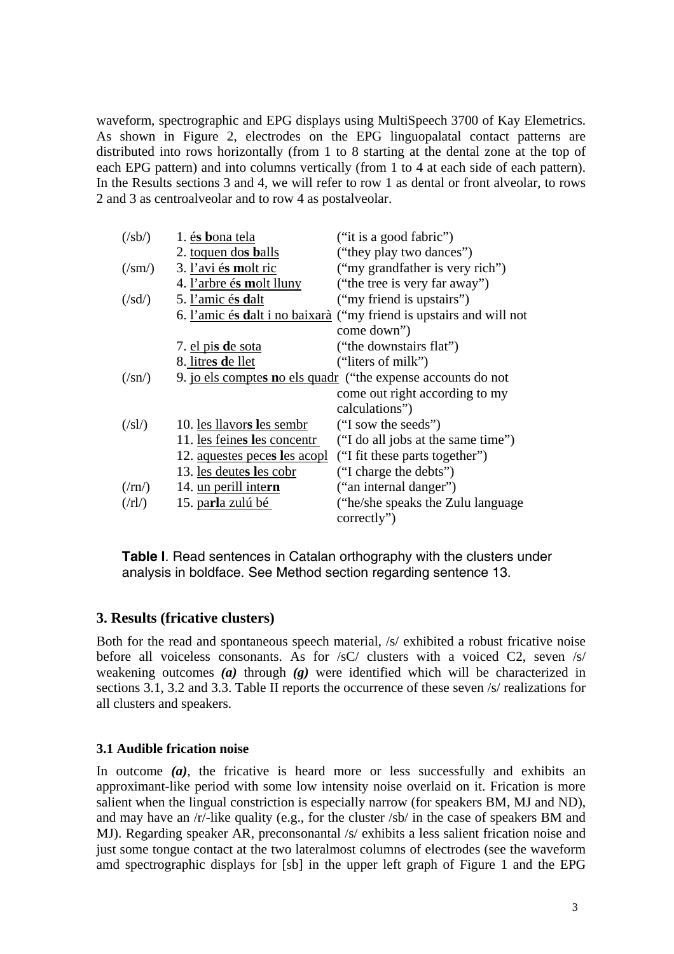waveform, spectrographic and EPG displays using MultiSpeech 3700 of Kay Elemetrics. As shown in Figure 2, electrodes on the EPG linguopalatal contact patterns are distributed into rows horizontally (from 1 to 8 starting at the dental zone at the top of each EPG pattern) and into columns vertically (from 1 to 4 at each side of each pattern). In the Results sections 3 and 4, we will refer to row 1 as dental or front alveolar, to rows 2 and 3 as centroalveolar and to row 4 as postalveolar.

| $(\mathsf{sb}\mathsf{/}s\mathsf{b}\mathsf{/}s\mathsf{b}\mathsf{/}s\mathsf{b}\mathsf{/}s\mathsf{b}\mathsf{/}s\mathsf{b}\mathsf{/}s\mathsf{b}\mathsf{/}s\mathsf{b}\mathsf{/}s\mathsf{b}\mathsf{/}s\mathsf{b}\mathsf{/}s\mathsf{b}\mathsf{/}s\mathsf{b}\mathsf{/}s\mathsf{b}\mathsf{/}s\mathsf{b}\mathsf{/}s\mathsf{b}\mathsf{/}s\mathsf{b}\mathsf{/}s\mathsf{b}\mathsf{/}s\mathsf{b}\mathsf{/}s\mathsf{b}\mathsf{/}s\mathsf{b}\mathsf{/}s$ | 1. és bona tela                                              | ("it is a good fabric")                                                    |  |  |  |  |
|------------------------------------------------------------------------------------------------------------------------------------------------------------------------------------------------------------------------------------------------------------------------------------------------------------------------------------------------------------------------------------------------------------------------------------------|--------------------------------------------------------------|----------------------------------------------------------------------------|--|--|--|--|
|                                                                                                                                                                                                                                                                                                                                                                                                                                          | 2. toquen dos balls                                          | ("they play two dances")                                                   |  |  |  |  |
| $(\sqrt{sm})$                                                                                                                                                                                                                                                                                                                                                                                                                            | 3. l'avi és molt ric                                         | ("my grandfather is very rich")                                            |  |  |  |  |
|                                                                                                                                                                                                                                                                                                                                                                                                                                          | 4. l'arbre és molt lluny                                     | ("the tree is very far away")                                              |  |  |  |  |
| $(\sqrt{sd})$                                                                                                                                                                                                                                                                                                                                                                                                                            | 5. l'amic és dalt                                            | ("my friend is upstairs")                                                  |  |  |  |  |
|                                                                                                                                                                                                                                                                                                                                                                                                                                          |                                                              | 6. <u>l'amic és dalt i no baixarà</u> ("my friend is upstairs and will not |  |  |  |  |
|                                                                                                                                                                                                                                                                                                                                                                                                                                          |                                                              | come down")                                                                |  |  |  |  |
|                                                                                                                                                                                                                                                                                                                                                                                                                                          | 7. el pis de sota                                            | ("the downstairs flat")                                                    |  |  |  |  |
|                                                                                                                                                                                                                                                                                                                                                                                                                                          | 8. litres de llet                                            | ("liters of milk")                                                         |  |  |  |  |
| $(\sqrt{sn})$                                                                                                                                                                                                                                                                                                                                                                                                                            | 9. jo els comptes no els quadr ("the expense accounts do not |                                                                            |  |  |  |  |
|                                                                                                                                                                                                                                                                                                                                                                                                                                          |                                                              | come out right according to my                                             |  |  |  |  |
|                                                                                                                                                                                                                                                                                                                                                                                                                                          |                                                              | calculations")                                                             |  |  |  |  |
| $(\frac{ s }{})$                                                                                                                                                                                                                                                                                                                                                                                                                         | 10. les llavors les sembr                                    | ("I sow the seeds")                                                        |  |  |  |  |
|                                                                                                                                                                                                                                                                                                                                                                                                                                          | 11. les feines les concentr                                  | ("I do all jobs at the same time")                                         |  |  |  |  |
|                                                                                                                                                                                                                                                                                                                                                                                                                                          | 12. aquestes peces les acopl                                 | ("I fit these parts together")                                             |  |  |  |  |
|                                                                                                                                                                                                                                                                                                                                                                                                                                          | 13. les deutes les cobr                                      | ("I charge the debts")                                                     |  |  |  |  |
| $(\binom{r}{r})$                                                                                                                                                                                                                                                                                                                                                                                                                         | 14. un perill intern                                         | ("an internal danger")                                                     |  |  |  |  |
| $(\frac{r}{r})$                                                                                                                                                                                                                                                                                                                                                                                                                          | 15. parla zulú bé                                            | ("he/she speaks the Zulu language")                                        |  |  |  |  |
|                                                                                                                                                                                                                                                                                                                                                                                                                                          |                                                              | correctly")                                                                |  |  |  |  |

**Table I**. Read sentences in Catalan orthography with the clusters under analysis in boldface. See Method section regarding sentence 13.

# **3. Results (fricative clusters)**

Both for the read and spontaneous speech material,  $/s/$  exhibited a robust fricative noise before all voiceless consonants. As for /sC/ clusters with a voiced C2, seven /s/ weakening outcomes *(a)* through *(g)* were identified which will be characterized in sections 3.1, 3.2 and 3.3. Table II reports the occurrence of these seven /s/ realizations for all clusters and speakers.

# **3.1 Audible frication noise**

In outcome *(a)*, the fricative is heard more or less successfully and exhibits an approximant-like period with some low intensity noise overlaid on it. Frication is more salient when the lingual constriction is especially narrow (for speakers BM, MJ and ND), and may have an /r/-like quality (e.g., for the cluster /sb/ in the case of speakers BM and MJ). Regarding speaker AR, preconsonantal /s/ exhibits a less salient frication noise and just some tongue contact at the two lateralmost columns of electrodes (see the waveform amd spectrographic displays for [sb] in the upper left graph of Figure 1 and the EPG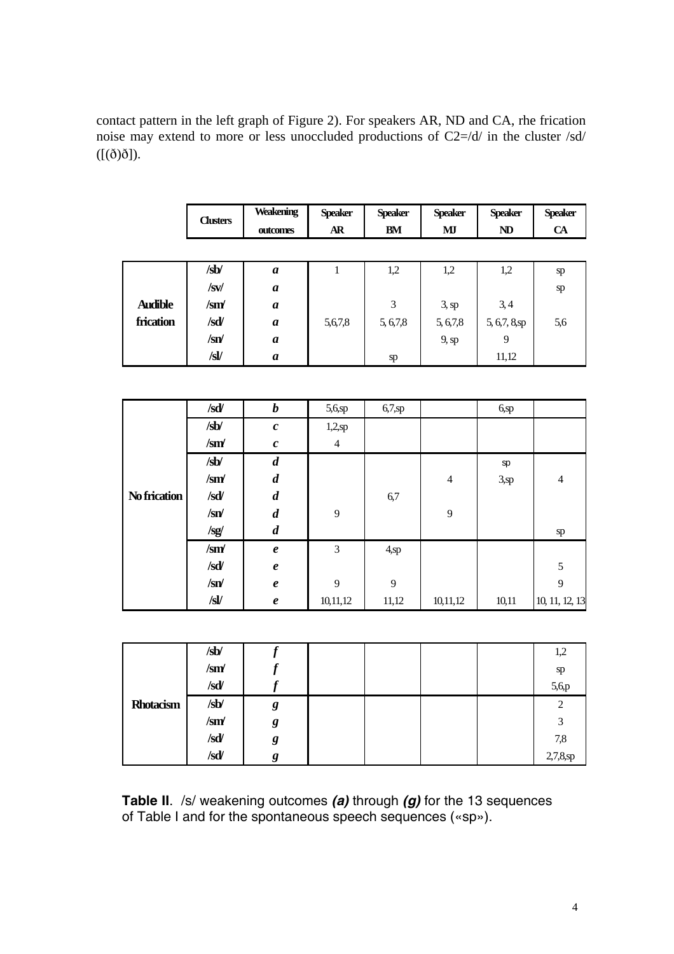contact pattern in the left graph of Figure 2). For speakers AR, ND and CA, rhe frication noise may extend to more or less unoccluded productions of C2=/d/ in the cluster /sd/  $([(\delta)\delta]).$ 

|                | <b>Clusters</b>             | <b>Weakening</b><br>outcomes | <b>Speaker</b><br><b>AR</b> | <b>Speaker</b><br><b>BM</b> | <b>Speaker</b><br>MI | <b>Speaker</b><br><b>ND</b> | <b>Speaker</b><br><b>CA</b> |
|----------------|-----------------------------|------------------------------|-----------------------------|-----------------------------|----------------------|-----------------------------|-----------------------------|
|                |                             |                              |                             |                             |                      |                             |                             |
|                |                             |                              |                             |                             |                      |                             |                             |
|                | /sb/                        | $\boldsymbol{a}$             | 1                           | 1,2                         | 1,2                  | 1,2                         | sp                          |
|                | /sv/                        | $\boldsymbol{a}$             |                             |                             |                      |                             | sp                          |
| <b>Audible</b> | $\mathbf{S}$ m $\mathbf{M}$ | $\boldsymbol{a}$             |                             | 3                           | $3,$ sp              | 3,4                         |                             |
| frication      | /sd/                        | $\boldsymbol{a}$             | 5,6,7,8                     | 5, 6, 7, 8                  | 5, 6, 7, 8           | $5, 6, 7, 8,$ sp            | 5,6                         |
|                | $\sqrt{sn}$                 | $\boldsymbol{a}$             |                             |                             | $9$ , sp             | 9                           |                             |
|                | /sV                         | $\boldsymbol{a}$             |                             | sp                          |                      | 11,12                       |                             |

|              | /sd/                        | $\boldsymbol{b}$    | 5,6,sp         | 6,7,sp  |                | $6,$ sp |                |
|--------------|-----------------------------|---------------------|----------------|---------|----------------|---------|----------------|
|              | /sb/                        | $\boldsymbol{c}$    | 1,2,sp         |         |                |         |                |
|              | $\sin\theta$                | $\boldsymbol{c}$    | $\overline{4}$ |         |                |         |                |
|              | /sb/                        | $\boldsymbol{d}$    |                |         |                | sp      |                |
|              | $\sin\theta$                | $\boldsymbol{d}$    |                |         | $\overline{4}$ | $3,$ sp | $\overline{4}$ |
| No frication | /sd/                        | $\boldsymbol{d}$    |                | 6,7     |                |         |                |
|              | $\sqrt{sn}$                 | $\boldsymbol{d}$    | 9              |         | 9              |         |                |
|              | $\sqrt{sg}$                 | $\boldsymbol{d}$    |                |         |                |         | ${\rm sp}$     |
|              | $\mathbf{S}$ m $\mathbf{M}$ | $\boldsymbol{\ell}$ | 3              | $4,$ sp |                |         |                |
|              | /sd                         | $\boldsymbol{\ell}$ |                |         |                |         | 5              |
|              | $\sqrt{sn}$                 | $\boldsymbol{\ell}$ | 9              | 9       |                |         | 9              |
|              | /sl/                        | $\pmb{e}$           | 10,11,12       | 11,12   | 10,11,12       | 10,11   | 10, 11, 12, 13 |

|           | /sb/        |   |  |  | 1,2            |
|-----------|-------------|---|--|--|----------------|
|           | $\sqrt{sm}$ |   |  |  | sp             |
|           | /sd         |   |  |  | 5,6,p          |
| Rhotacism | /sb         | g |  |  | $\overline{2}$ |
|           | $\sqrt{sm}$ | g |  |  | 3              |
|           | /sd         | g |  |  | 7,8            |
|           | /sd         | g |  |  | 2,7,8,sp       |

**Table II**. /s/ weakening outcomes *(a)* through *(g)* for the 13 sequences of Table I and for the spontaneous speech sequences («sp»).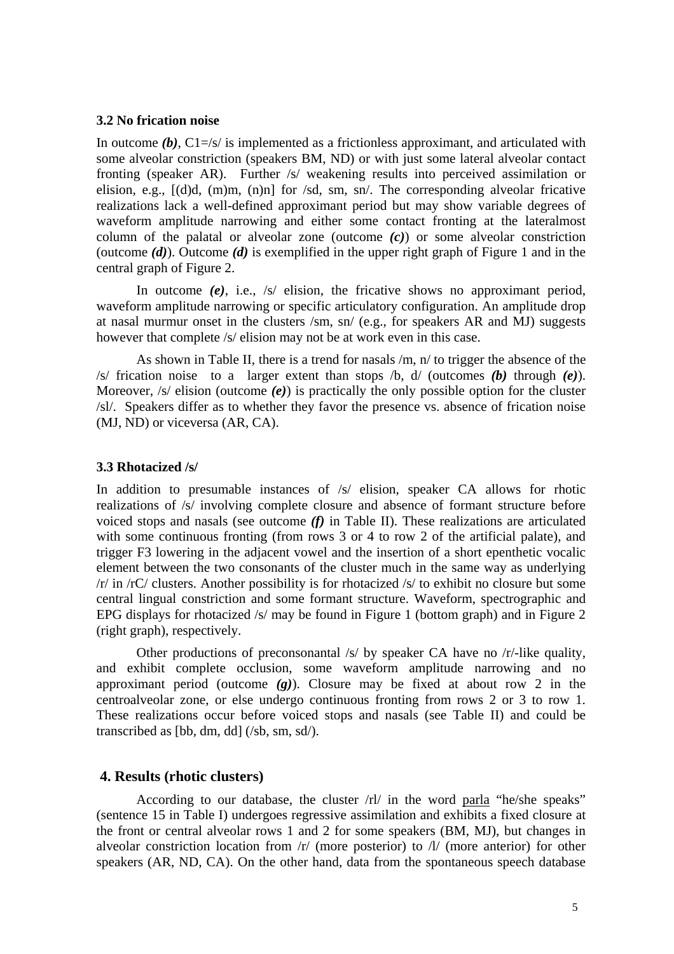#### **3.2 No frication noise**

In outcome  $(b)$ ,  $C1 = |s|$  is implemented as a frictionless approximant, and articulated with some alveolar constriction (speakers BM, ND) or with just some lateral alveolar contact fronting (speaker AR). Further /s/ weakening results into perceived assimilation or elision, e.g., [(d)d, (m)m, (n)n] for /sd, sm, sn/. The corresponding alveolar fricative realizations lack a well-defined approximant period but may show variable degrees of waveform amplitude narrowing and either some contact fronting at the lateralmost column of the palatal or alveolar zone (outcome *(c)*) or some alveolar constriction (outcome *(d)*). Outcome *(d)* is exemplified in the upper right graph of Figure 1 and in the central graph of Figure 2.

In outcome *(e)*, i.e., /s/ elision, the fricative shows no approximant period, waveform amplitude narrowing or specific articulatory configuration. An amplitude drop at nasal murmur onset in the clusters /sm, sn/ (e.g., for speakers AR and MJ) suggests however that complete /s/ elision may not be at work even in this case.

 As shown in Table II, there is a trend for nasals /m, n/ to trigger the absence of the /s/ frication noise to a larger extent than stops /b, d/ (outcomes *(b)* through *(e)*). Moreover, /s/ elision (outcome *(e)*) is practically the only possible option for the cluster /sl/. Speakers differ as to whether they favor the presence vs. absence of frication noise (MJ, ND) or viceversa (AR, CA).

#### **3.3 Rhotacized /s/**

In addition to presumable instances of  $/s/$  elision, speaker CA allows for rhotic realizations of /s/ involving complete closure and absence of formant structure before voiced stops and nasals (see outcome *(f)* in Table II). These realizations are articulated with some continuous fronting (from rows 3 or 4 to row 2 of the artificial palate), and trigger F3 lowering in the adjacent vowel and the insertion of a short epenthetic vocalic element between the two consonants of the cluster much in the same way as underlying /r/ in /rC/ clusters. Another possibility is for rhotacized /s/ to exhibit no closure but some central lingual constriction and some formant structure. Waveform, spectrographic and EPG displays for rhotacized /s/ may be found in Figure 1 (bottom graph) and in Figure 2 (right graph), respectively.

Other productions of preconsonantal /s/ by speaker CA have no /r/-like quality, and exhibit complete occlusion, some waveform amplitude narrowing and no approximant period (outcome *(g)*). Closure may be fixed at about row 2 in the centroalveolar zone, or else undergo continuous fronting from rows 2 or 3 to row 1. These realizations occur before voiced stops and nasals (see Table II) and could be transcribed as [bb, dm, dd] (/sb, sm, sd/).

# **4. Results (rhotic clusters)**

 According to our database, the cluster /rl/ in the word parla "he/she speaks" (sentence 15 in Table I) undergoes regressive assimilation and exhibits a fixed closure at the front or central alveolar rows 1 and 2 for some speakers (BM, MJ), but changes in alveolar constriction location from /r/ (more posterior) to /l/ (more anterior) for other speakers (AR, ND, CA). On the other hand, data from the spontaneous speech database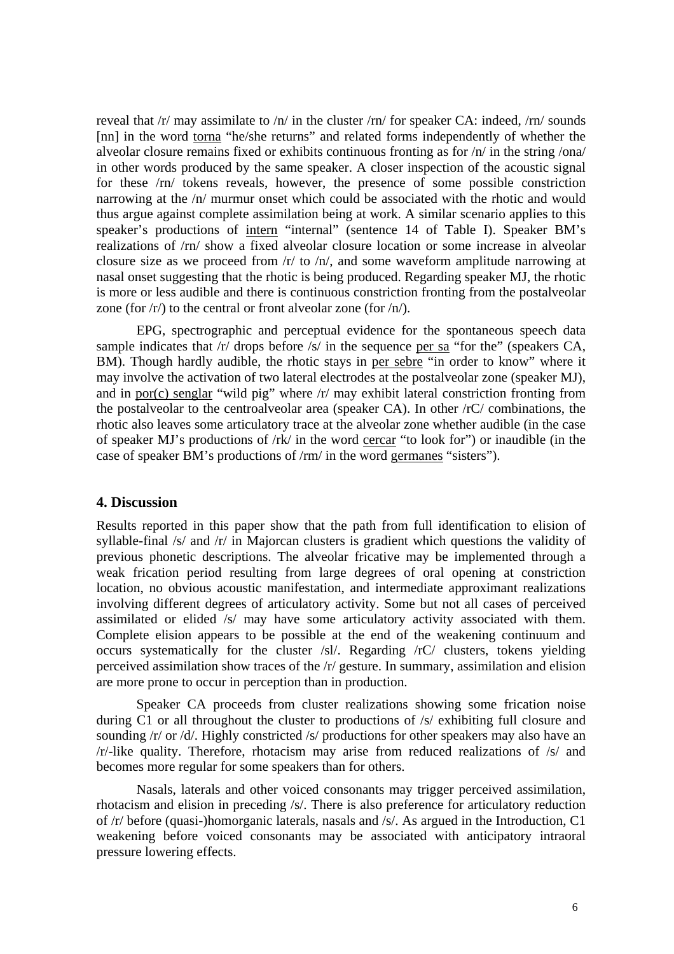reveal that  $\frac{r}{m}$  may assimilate to  $\frac{h}{m}$  in the cluster  $\frac{r}{m}$  for speaker CA: indeed,  $\frac{r}{m}$  sounds [nn] in the word torna "he/she returns" and related forms independently of whether the alveolar closure remains fixed or exhibits continuous fronting as for /n/ in the string /ona/ in other words produced by the same speaker. A closer inspection of the acoustic signal for these /rn/ tokens reveals, however, the presence of some possible constriction narrowing at the /n/ murmur onset which could be associated with the rhotic and would thus argue against complete assimilation being at work. A similar scenario applies to this speaker's productions of intern "internal" (sentence 14 of Table I). Speaker BM's realizations of /rn/ show a fixed alveolar closure location or some increase in alveolar closure size as we proceed from /r/ to /n/, and some waveform amplitude narrowing at nasal onset suggesting that the rhotic is being produced. Regarding speaker MJ, the rhotic is more or less audible and there is continuous constriction fronting from the postalveolar zone (for  $\langle r \rangle$ ) to the central or front alveolar zone (for  $\langle n \rangle$ ).

EPG, spectrographic and perceptual evidence for the spontaneous speech data sample indicates that  $\frac{r}{dr}$  drops before  $\frac{r}{s}$  in the sequence per sa "for the" (speakers CA, BM). Though hardly audible, the rhotic stays in per sebre "in order to know" where it may involve the activation of two lateral electrodes at the postalveolar zone (speaker MJ), and in por(c) senglar "wild pig" where /r/ may exhibit lateral constriction fronting from the postalveolar to the centroalveolar area (speaker CA). In other /rC/ combinations, the rhotic also leaves some articulatory trace at the alveolar zone whether audible (in the case of speaker MJ's productions of /rk/ in the word cercar "to look for") or inaudible (in the case of speaker BM's productions of /rm/ in the word germanes "sisters").

### **4. Discussion**

Results reported in this paper show that the path from full identification to elision of syllable-final /s/ and /r/ in Majorcan clusters is gradient which questions the validity of previous phonetic descriptions. The alveolar fricative may be implemented through a weak frication period resulting from large degrees of oral opening at constriction location, no obvious acoustic manifestation, and intermediate approximant realizations involving different degrees of articulatory activity. Some but not all cases of perceived assimilated or elided /s/ may have some articulatory activity associated with them. Complete elision appears to be possible at the end of the weakening continuum and occurs systematically for the cluster /sl/. Regarding /rC/ clusters, tokens yielding perceived assimilation show traces of the /r/ gesture. In summary, assimilation and elision are more prone to occur in perception than in production.

 Speaker CA proceeds from cluster realizations showing some frication noise during C1 or all throughout the cluster to productions of  $/s/$  exhibiting full closure and sounding /r/ or /d/. Highly constricted /s/ productions for other speakers may also have an /r/-like quality. Therefore, rhotacism may arise from reduced realizations of /s/ and becomes more regular for some speakers than for others.

 Nasals, laterals and other voiced consonants may trigger perceived assimilation, rhotacism and elision in preceding /s/. There is also preference for articulatory reduction of /r/ before (quasi-)homorganic laterals, nasals and /s/. As argued in the Introduction, C1 weakening before voiced consonants may be associated with anticipatory intraoral pressure lowering effects.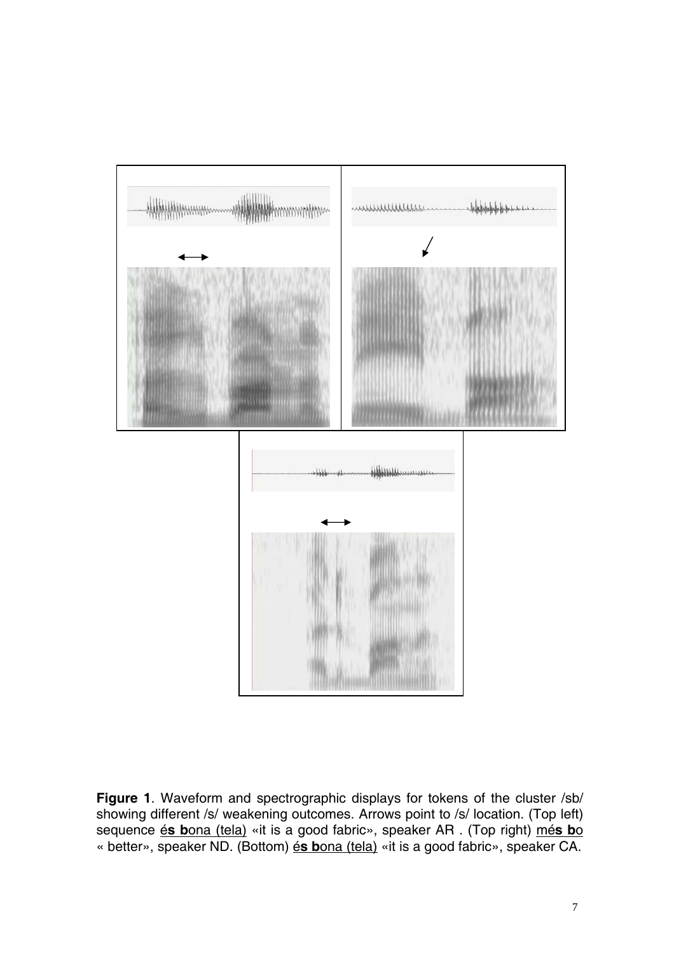

**Figure 1**. Waveform and spectrographic displays for tokens of the cluster /sb/ showing different /s/ weakening outcomes. Arrows point to /s/ location. (Top left) sequence é**s b**ona (tela) «it is a good fabric», speaker AR . (Top right) mé**s b**o « better», speaker ND. (Bottom) é**s b**ona (tela) «it is a good fabric», speaker CA.